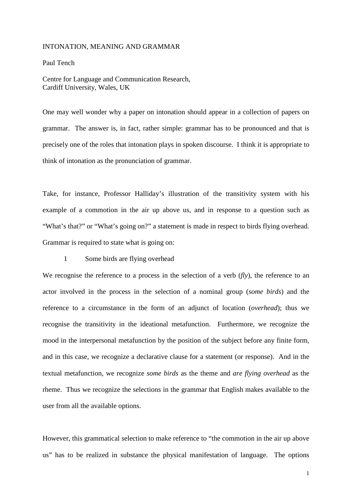#### INTONATION, MEANING AND GRAMMAR

Paul Tench

Centre for Language and Communication Research, Cardiff University, Wales, UK

One may well wonder why a paper on intonation should appear in a collection of papers on grammar. The answer is, in fact, rather simple: grammar has to be pronounced and that is precisely one of the roles that intonation plays in spoken discourse. I think it is appropriate to think of intonation as the pronunciation of grammar.

Take, for instance, Professor Halliday's illustration of the transitivity system with his example of a commotion in the air up above us, and in response to a question such as "What's that?" or "What's going on?" a statement is made in respect to birds flying overhead. Grammar is required to state what is going on:

1 Some birds are flying overhead

We recognise the reference to a process in the selection of a verb (*fly*), the reference to an actor involved in the process in the selection of a nominal group (*some birds*) and the reference to a circumstance in the form of an adjunct of location (*overhead*); thus we recognise the transitivity in the ideational metafunction. Furthermore, we recognize the mood in the interpersonal metafunction by the position of the subject before any finite form, and in this case, we recognize a declarative clause for a statement (or response). And in the textual metafunction, we recognize *some birds* as the theme and *are flying overhead* as the rheme. Thus we recognize the selections in the grammar that English makes available to the user from all the available options.

However, this grammatical selection to make reference to "the commotion in the air up above us" has to be realized in substance the physical manifestation of language. The options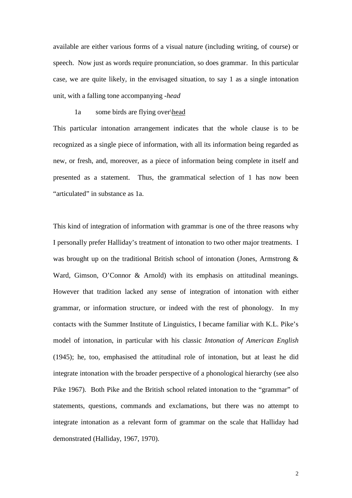available are either various forms of a visual nature (including writing, of course) or speech. Now just as words require pronunciation, so does grammar. In this particular case, we are quite likely, in the envisaged situation, to say 1 as a single intonation unit, with a falling tone accompanying *-head*

## 1a some birds are flying over\head

This particular intonation arrangement indicates that the whole clause is to be recognized as a single piece of information, with all its information being regarded as new, or fresh, and, moreover, as a piece of information being complete in itself and presented as a statement. Thus, the grammatical selection of 1 has now been "articulated" in substance as 1a.

This kind of integration of information with grammar is one of the three reasons why I personally prefer Halliday's treatment of intonation to two other major treatments. I was brought up on the traditional British school of intonation (Jones, Armstrong & Ward, Gimson, O'Connor & Arnold) with its emphasis on attitudinal meanings. However that tradition lacked any sense of integration of intonation with either grammar, or information structure, or indeed with the rest of phonology. In my contacts with the Summer Institute of Linguistics, I became familiar with K.L. Pike's model of intonation, in particular with his classic *Intonation of American English* (1945); he, too, emphasised the attitudinal role of intonation, but at least he did integrate intonation with the broader perspective of a phonological hierarchy (see also Pike 1967). Both Pike and the British school related intonation to the "grammar" of statements, questions, commands and exclamations, but there was no attempt to integrate intonation as a relevant form of grammar on the scale that Halliday had demonstrated (Halliday, 1967, 1970).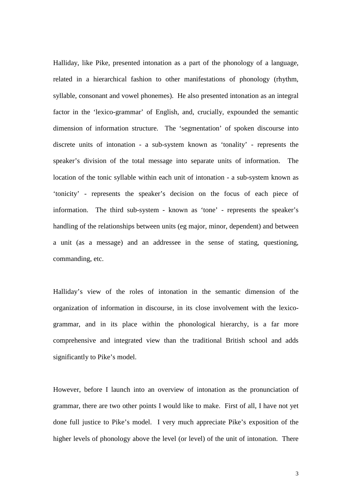Halliday, like Pike, presented intonation as a part of the phonology of a language, related in a hierarchical fashion to other manifestations of phonology (rhythm, syllable, consonant and vowel phonemes). He also presented intonation as an integral factor in the 'lexico-grammar' of English, and, crucially, expounded the semantic dimension of information structure. The 'segmentation' of spoken discourse into discrete units of intonation - a sub-system known as 'tonality' - represents the speaker's division of the total message into separate units of information. The location of the tonic syllable within each unit of intonation - a sub-system known as 'tonicity' - represents the speaker's decision on the focus of each piece of information. The third sub-system - known as 'tone' - represents the speaker's handling of the relationships between units (eg major, minor, dependent) and between a unit (as a message) and an addressee in the sense of stating, questioning, commanding, etc.

Halliday's view of the roles of intonation in the semantic dimension of the organization of information in discourse, in its close involvement with the lexicogrammar, and in its place within the phonological hierarchy, is a far more comprehensive and integrated view than the traditional British school and adds significantly to Pike's model.

However, before I launch into an overview of intonation as the pronunciation of grammar, there are two other points I would like to make. First of all, I have not yet done full justice to Pike's model. I very much appreciate Pike's exposition of the higher levels of phonology above the level (or level) of the unit of intonation. There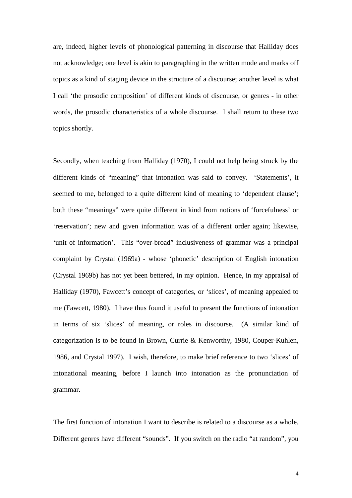are, indeed, higher levels of phonological patterning in discourse that Halliday does not acknowledge; one level is akin to paragraphing in the written mode and marks off topics as a kind of staging device in the structure of a discourse; another level is what I call 'the prosodic composition' of different kinds of discourse, or genres - in other words, the prosodic characteristics of a whole discourse. I shall return to these two topics shortly.

Secondly, when teaching from Halliday (1970), I could not help being struck by the different kinds of "meaning" that intonation was said to convey. 'Statements', it seemed to me, belonged to a quite different kind of meaning to 'dependent clause'; both these "meanings" were quite different in kind from notions of 'forcefulness' or 'reservation'; new and given information was of a different order again; likewise, 'unit of information'. This "over-broad" inclusiveness of grammar was a principal complaint by Crystal (1969a) - whose 'phonetic' description of English intonation (Crystal 1969b) has not yet been bettered, in my opinion. Hence, in my appraisal of Halliday (1970), Fawcett's concept of categories, or 'slices', of meaning appealed to me (Fawcett, 1980). I have thus found it useful to present the functions of intonation in terms of six 'slices' of meaning, or roles in discourse. (A similar kind of categorization is to be found in Brown, Currie & Kenworthy, 1980, Couper-Kuhlen, 1986, and Crystal 1997). I wish, therefore, to make brief reference to two 'slices' of intonational meaning, before I launch into intonation as the pronunciation of grammar.

The first function of intonation I want to describe is related to a discourse as a whole. Different genres have different "sounds". If you switch on the radio "at random", you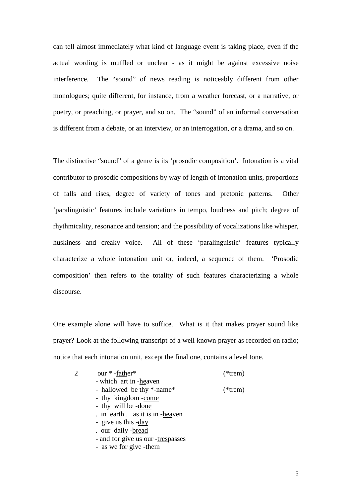can tell almost immediately what kind of language event is taking place, even if the actual wording is muffled or unclear - as it might be against excessive noise interference. The "sound" of news reading is noticeably different from other monologues; quite different, for instance, from a weather forecast, or a narrative, or poetry, or preaching, or prayer, and so on. The "sound" of an informal conversation is different from a debate, or an interview, or an interrogation, or a drama, and so on.

The distinctive "sound" of a genre is its 'prosodic composition'. Intonation is a vital contributor to prosodic compositions by way of length of intonation units, proportions of falls and rises, degree of variety of tones and pretonic patterns. Other 'paralinguistic' features include variations in tempo, loudness and pitch; degree of rhythmicality, resonance and tension; and the possibility of vocalizations like whisper, huskiness and creaky voice. All of these 'paralinguistic' features typically characterize a whole intonation unit or, indeed, a sequence of them. 'Prosodic composition' then refers to the totality of such features characterizing a whole discourse.

One example alone will have to suffice. What is it that makes prayer sound like prayer? Look at the following transcript of a well known prayer as recorded on radio; notice that each intonation unit, except the final one, contains a level tone.

| 2 | our *-father*                     | $(*$ trem) |
|---|-----------------------------------|------------|
|   | - which art in -heaven            |            |
|   | - hallowed be thy *-name*         | $(*$ trem) |
|   | - thy kingdom -come               |            |
|   | - thy will be -done               |            |
|   | . in earth . as it is in -heaven  |            |
|   | - give us this -day               |            |
|   | . our daily -bread                |            |
|   | - and for give us our -trespasses |            |
|   | - as we for give -them            |            |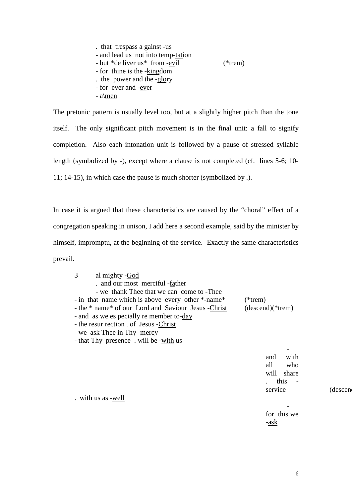. that trespass a gainst -us - and lead us not into temp-tation - but \*de liver us\* from -evil (\*trem) - for thine is the -kingdom . the power and the -glory - for ever and -ever - a\men

The pretonic pattern is usually level too, but at a slightly higher pitch than the tone itself. The only significant pitch movement is in the final unit: a fall to signify completion. Also each intonation unit is followed by a pause of stressed syllable length (symbolized by -), except where a clause is not completed (cf. lines 5-6; 10- 11; 14-15), in which case the pause is much shorter (symbolized by .).

In case it is argued that these characteristics are caused by the "choral" effect of a congregation speaking in unison, I add here a second example, said by the minister by himself, impromptu, at the beginning of the service. Exactly the same characteristics prevail.

| 3<br>al mighty -God                                  |                    |
|------------------------------------------------------|--------------------|
| . and our most merciful -father                      |                    |
| - we thank Thee that we can come to -Thee            |                    |
| - in that name which is above every other *-name*    | $(*$ trem)         |
| - the * name* of our Lord and Saviour Jesus - Christ | $(descend)(*trem)$ |
| - and as we es pecially re member to-day             |                    |
| - the resur rection of Jesus - Christ                |                    |
| - we ask Thee in Thy -mercy                          |                    |
| - that Thy presence. will be -with us                |                    |
|                                                      |                    |
|                                                      | with<br>and        |
|                                                      | who<br>all         |
|                                                      | will<br>share      |

. with us as -well

service (descen

for this we -ask

-

this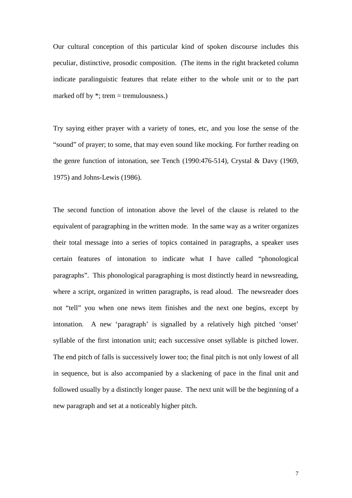Our cultural conception of this particular kind of spoken discourse includes this peculiar, distinctive, prosodic composition. (The items in the right bracketed column indicate paralinguistic features that relate either to the whole unit or to the part marked off by  $*$ ; trem = tremulousness.)

Try saying either prayer with a variety of tones, etc, and you lose the sense of the "sound" of prayer; to some, that may even sound like mocking. For further reading on the genre function of intonation, see Tench (1990:476-514), Crystal & Davy (1969, 1975) and Johns-Lewis (1986).

The second function of intonation above the level of the clause is related to the equivalent of paragraphing in the written mode. In the same way as a writer organizes their total message into a series of topics contained in paragraphs, a speaker uses certain features of intonation to indicate what I have called "phonological paragraphs". This phonological paragraphing is most distinctly heard in newsreading, where a script, organized in written paragraphs, is read aloud. The newsreader does not "tell" you when one news item finishes and the next one begins, except by intonation. A new 'paragraph' is signalled by a relatively high pitched 'onset' syllable of the first intonation unit; each successive onset syllable is pitched lower. The end pitch of falls is successively lower too; the final pitch is not only lowest of all in sequence, but is also accompanied by a slackening of pace in the final unit and followed usually by a distinctly longer pause. The next unit will be the beginning of a new paragraph and set at a noticeably higher pitch.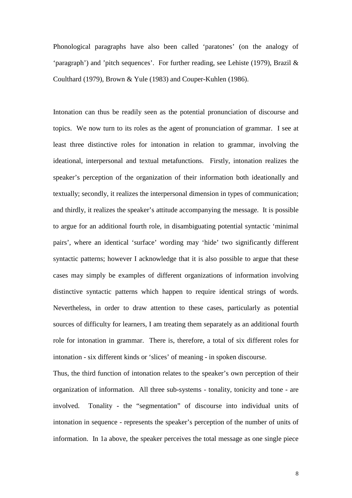Phonological paragraphs have also been called 'paratones' (on the analogy of 'paragraph') and 'pitch sequences'. For further reading, see Lehiste (1979), Brazil & Coulthard (1979), Brown & Yule (1983) and Couper-Kuhlen (1986).

Intonation can thus be readily seen as the potential pronunciation of discourse and topics. We now turn to its roles as the agent of pronunciation of grammar. I see at least three distinctive roles for intonation in relation to grammar, involving the ideational, interpersonal and textual metafunctions. Firstly, intonation realizes the speaker's perception of the organization of their information both ideationally and textually; secondly, it realizes the interpersonal dimension in types of communication; and thirdly, it realizes the speaker's attitude accompanying the message. It is possible to argue for an additional fourth role, in disambiguating potential syntactic 'minimal pairs', where an identical 'surface' wording may 'hide' two significantly different syntactic patterns; however I acknowledge that it is also possible to argue that these cases may simply be examples of different organizations of information involving distinctive syntactic patterns which happen to require identical strings of words. Nevertheless, in order to draw attention to these cases, particularly as potential sources of difficulty for learners, I am treating them separately as an additional fourth role for intonation in grammar. There is, therefore, a total of six different roles for intonation - six different kinds or 'slices' of meaning - in spoken discourse.

Thus, the third function of intonation relates to the speaker's own perception of their organization of information. All three sub-systems - tonality, tonicity and tone - are involved. Tonality - the "segmentation" of discourse into individual units of intonation in sequence - represents the speaker's perception of the number of units of information. In 1a above, the speaker perceives the total message as one single piece

8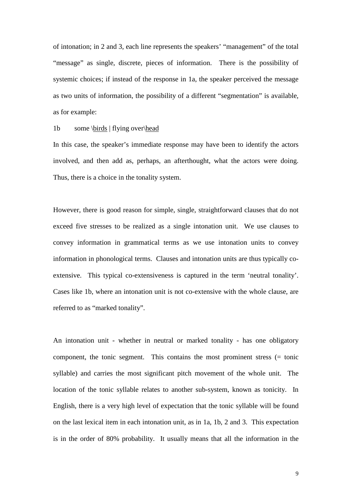of intonation; in 2 and 3, each line represents the speakers' "management" of the total "message" as single, discrete, pieces of information. There is the possibility of systemic choices; if instead of the response in 1a, the speaker perceived the message as two units of information, the possibility of a different "segmentation" is available, as for example:

# 1b some \birds | flying over\head

In this case, the speaker's immediate response may have been to identify the actors involved, and then add as, perhaps, an afterthought, what the actors were doing. Thus, there is a choice in the tonality system.

However, there is good reason for simple, single, straightforward clauses that do not exceed five stresses to be realized as a single intonation unit. We use clauses to convey information in grammatical terms as we use intonation units to convey information in phonological terms. Clauses and intonation units are thus typically coextensive. This typical co-extensiveness is captured in the term 'neutral tonality'. Cases like 1b, where an intonation unit is not co-extensive with the whole clause, are referred to as "marked tonality".

An intonation unit - whether in neutral or marked tonality - has one obligatory component, the tonic segment. This contains the most prominent stress (= tonic syllable) and carries the most significant pitch movement of the whole unit. The location of the tonic syllable relates to another sub-system, known as tonicity. In English, there is a very high level of expectation that the tonic syllable will be found on the last lexical item in each intonation unit, as in 1a, 1b, 2 and 3. This expectation is in the order of 80% probability. It usually means that all the information in the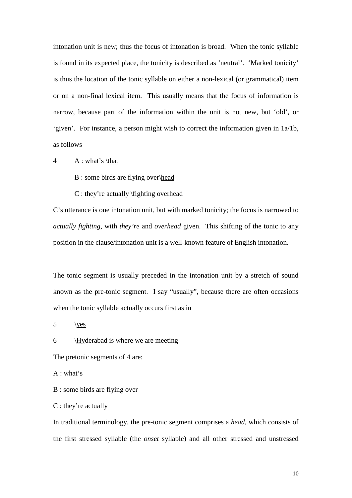intonation unit is new; thus the focus of intonation is broad. When the tonic syllable is found in its expected place, the tonicity is described as 'neutral'. 'Marked tonicity' is thus the location of the tonic syllable on either a non-lexical (or grammatical) item or on a non-final lexical item. This usually means that the focus of information is narrow, because part of the information within the unit is not new, but 'old', or 'given'. For instance, a person might wish to correct the information given in 1a/1b, as follows

 $4 \rightarrow A : what's \theta$ 

B : some birds are flying over\head

C : they're actually \fighting overhead

C's utterance is one intonation unit, but with marked tonicity; the focus is narrowed to *actually fighting*, with *they're* and *overhead* given. This shifting of the tonic to any position in the clause/intonation unit is a well-known feature of English intonation.

The tonic segment is usually preceded in the intonation unit by a stretch of sound known as the pre-tonic segment. I say "usually", because there are often occasions when the tonic syllable actually occurs first as in

 $5 \quad \forall$ 

6 \Hyderabad is where we are meeting

The pretonic segments of 4 are:

A : what's

B : some birds are flying over

C : they're actually

In traditional terminology, the pre-tonic segment comprises a *head*, which consists of the first stressed syllable (the *onset* syllable) and all other stressed and unstressed

10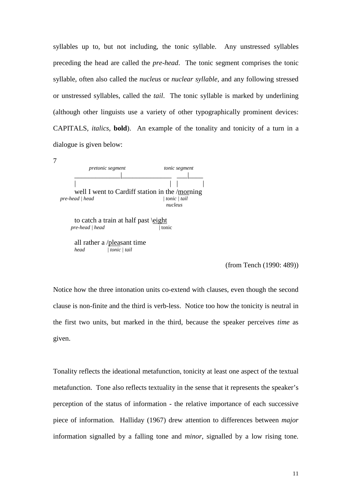syllables up to, but not including, the tonic syllable. Any unstressed syllables preceding the head are called the *pre-head*. The tonic segment comprises the tonic syllable, often also called the *nucleus* or *nuclear syllable*, and any following stressed or unstressed syllables, called the *tail*. The tonic syllable is marked by underlining (although other linguists use a variety of other typographically prominent devices: CAPITALS, *italics*, **bold**). An example of the tonality and tonicity of a turn in a dialogue is given below:

| <i>pretonic segment</i>                        | tonic segment |
|------------------------------------------------|---------------|
|                                                |               |
|                                                |               |
| well I went to Cardiff station in the /morning |               |
| pre-head   head                                | tonic   tail  |
|                                                | nucleus       |
| to catch a train at half past \eight           |               |
| pre-head   head                                | tonic         |
| all rather a /pleasant time                    |               |
| head<br>  tonic   tail                         |               |
|                                                |               |

(from Tench (1990: 489))

Notice how the three intonation units co-extend with clauses, even though the second clause is non-finite and the third is verb-less. Notice too how the tonicity is neutral in the first two units, but marked in the third, because the speaker perceives *time* as given.

Tonality reflects the ideational metafunction, tonicity at least one aspect of the textual metafunction. Tone also reflects textuality in the sense that it represents the speaker's perception of the status of information - the relative importance of each successive piece of information. Halliday (1967) drew attention to differences between *major* information signalled by a falling tone and *minor*, signalled by a low rising tone.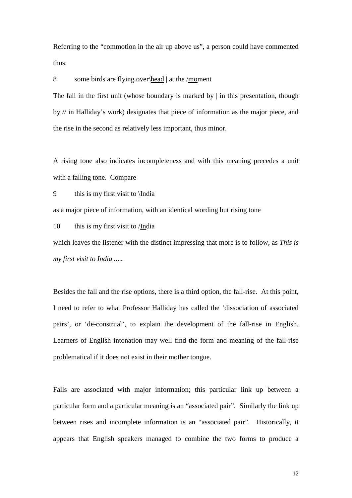Referring to the "commotion in the air up above us", a person could have commented thus:

8 some birds are flying over\head | at the /moment

The fall in the first unit (whose boundary is marked by  $\vert$  in this presentation, though by // in Halliday's work) designates that piece of information as the major piece, and the rise in the second as relatively less important, thus minor.

A rising tone also indicates incompleteness and with this meaning precedes a unit with a falling tone. Compare

9 this is my first visit to \India

as a major piece of information, with an identical wording but rising tone

10 this is my first visit to /India

which leaves the listener with the distinct impressing that more is to follow, as *This is my first visit to India .....*

Besides the fall and the rise options, there is a third option, the fall-rise. At this point, I need to refer to what Professor Halliday has called the 'dissociation of associated pairs', or 'de-construal', to explain the development of the fall-rise in English. Learners of English intonation may well find the form and meaning of the fall-rise problematical if it does not exist in their mother tongue.

Falls are associated with major information; this particular link up between a particular form and a particular meaning is an "associated pair". Similarly the link up between rises and incomplete information is an "associated pair". Historically, it appears that English speakers managed to combine the two forms to produce a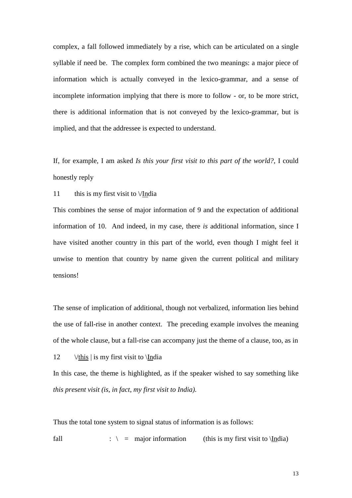complex, a fall followed immediately by a rise, which can be articulated on a single syllable if need be. The complex form combined the two meanings: a major piece of information which is actually conveyed in the lexico-grammar, and a sense of incomplete information implying that there is more to follow - or, to be more strict, there is additional information that is not conveyed by the lexico-grammar, but is implied, and that the addressee is expected to understand.

If, for example, I am asked *Is this your first visit to this part of the world?*, I could honestly reply

11 this is my first visit to  $\sqrt{I}$ ndia

This combines the sense of major information of 9 and the expectation of additional information of 10. And indeed, in my case, there *is* additional information, since I have visited another country in this part of the world, even though I might feel it unwise to mention that country by name given the current political and military tensions!

The sense of implication of additional, though not verbalized, information lies behind the use of fall-rise in another context. The preceding example involves the meaning of the whole clause, but a fall-rise can accompany just the theme of a clause, too, as in

12 \/this | is my first visit to \India

In this case, the theme is highlighted, as if the speaker wished to say something like *this present visit (is, in fact, my first visit to India)*.

Thus the total tone system to signal status of information is as follows:

fall  $\therefore$   $\qquad$  = major information (this is my first visit to \India)

13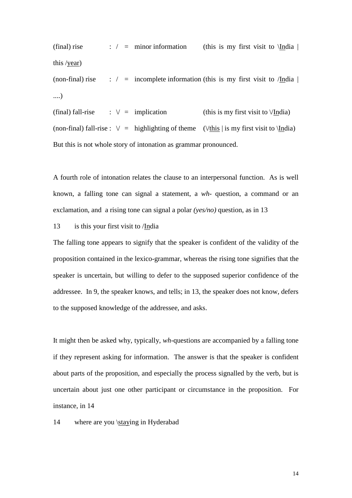(final) rise : / = minor information (this is my first visit to  $\text{India}$  | this /year)

(non-final) rise : / = incomplete information (this is my first visit to /India  $\vert$ ....)

(final) fall-rise :  $\lor$  = implication (this is my first visit to  $\lor$ India) (non-final) fall-rise :  $\lor$  = highlighting of theme ( $\lor$ this | is my first visit to  $\setminus$ India) But this is not whole story of intonation as grammar pronounced.

A fourth role of intonation relates the clause to an interpersonal function. As is well known, a falling tone can signal a statement, a *wh-* question, a command or an exclamation, and a rising tone can signal a polar *(yes/no)* question, as in 13

## 13 is this your first visit to /India

The falling tone appears to signify that the speaker is confident of the validity of the proposition contained in the lexico-grammar, whereas the rising tone signifies that the speaker is uncertain, but willing to defer to the supposed superior confidence of the addressee. In 9, the speaker knows, and tells; in 13, the speaker does not know, defers to the supposed knowledge of the addressee, and asks.

It might then be asked why, typically, *wh-*questions are accompanied by a falling tone if they represent asking for information. The answer is that the speaker is confident about parts of the proposition, and especially the process signalled by the verb, but is uncertain about just one other participant or circumstance in the proposition. For instance, in 14

14 where are you \staying in Hyderabad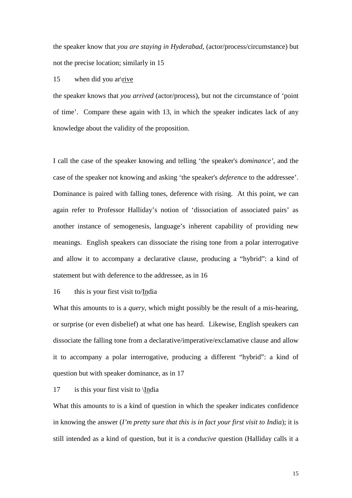the speaker know that *you are staying in Hyderabad*, (actor/process/circumstance) but not the precise location; similarly in 15

#### 15 when did you arl rive

the speaker knows that *you arrived* (actor/process), but not the circumstance of 'point of time'. Compare these again with 13, in which the speaker indicates lack of any knowledge about the validity of the proposition.

I call the case of the speaker knowing and telling 'the speaker's *dominance'*, and the case of the speaker not knowing and asking 'the speaker's *deference* to the addressee'. Dominance is paired with falling tones, deference with rising. At this point, we can again refer to Professor Halliday's notion of 'dissociation of associated pairs' as another instance of semogenesis, language's inherent capability of providing new meanings. English speakers can dissociate the rising tone from a polar interrogative and allow it to accompany a declarative clause, producing a "hybrid": a kind of statement but with deference to the addressee, as in 16

### 16 this is your first visit to/India

What this amounts to is a *query*, which might possibly be the result of a mis-hearing, or surprise (or even disbelief) at what one has heard. Likewise, English speakers can dissociate the falling tone from a declarative/imperative/exclamative clause and allow it to accompany a polar interrogative, producing a different "hybrid": a kind of question but with speaker dominance, as in 17

#### 17 is this your first visit to \India

What this amounts to is a kind of question in which the speaker indicates confidence in knowing the answer (*I'm pretty sure that this is in fact your first visit to India*); it is still intended as a kind of question, but it is a *conducive* question (Halliday calls it a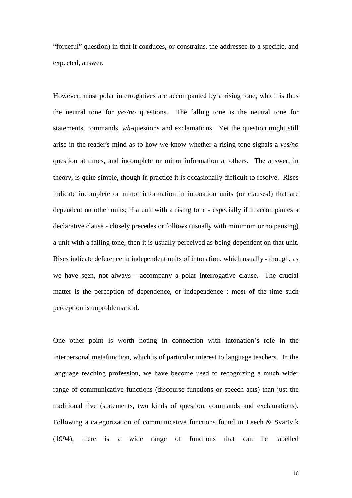"forceful" question) in that it conduces, or constrains, the addressee to a specific, and expected, answer.

However, most polar interrogatives are accompanied by a rising tone, which is thus the neutral tone for *yes/no* questions. The falling tone is the neutral tone for statements, commands, *wh-*questions and exclamations. Yet the question might still arise in the reader's mind as to how we know whether a rising tone signals a *yes/no*  question at times, and incomplete or minor information at others. The answer, in theory, is quite simple, though in practice it is occasionally difficult to resolve. Rises indicate incomplete or minor information in intonation units (or clauses!) that are dependent on other units; if a unit with a rising tone - especially if it accompanies a declarative clause - closely precedes or follows (usually with minimum or no pausing) a unit with a falling tone, then it is usually perceived as being dependent on that unit. Rises indicate deference in independent units of intonation, which usually - though, as we have seen, not always - accompany a polar interrogative clause. The crucial matter is the perception of dependence, or independence ; most of the time such perception is unproblematical.

One other point is worth noting in connection with intonation's role in the interpersonal metafunction, which is of particular interest to language teachers. In the language teaching profession, we have become used to recognizing a much wider range of communicative functions (discourse functions or speech acts) than just the traditional five (statements, two kinds of question, commands and exclamations). Following a categorization of communicative functions found in Leech & Svartvik (1994), there is a wide range of functions that can be labelled

16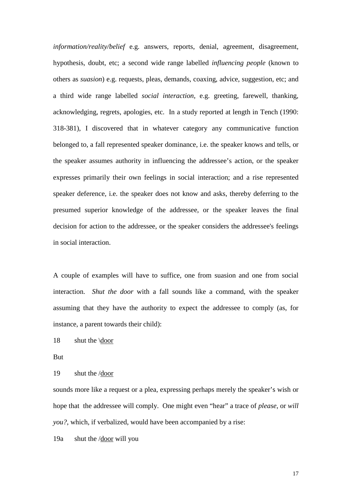*information/reality/belief* e.g. answers, reports, denial, agreement, disagreement, hypothesis, doubt, etc; a second wide range labelled *influencing people* (known to others as *suasion*) e.g. requests, pleas, demands, coaxing, advice, suggestion, etc; and a third wide range labelled *social interaction*, e.g. greeting, farewell, thanking, acknowledging, regrets, apologies, etc. In a study reported at length in Tench (1990: 318-381), I discovered that in whatever category any communicative function belonged to, a fall represented speaker dominance, i.e. the speaker knows and tells, or the speaker assumes authority in influencing the addressee's action, or the speaker expresses primarily their own feelings in social interaction; and a rise represented speaker deference, i.e. the speaker does not know and asks, thereby deferring to the presumed superior knowledge of the addressee, or the speaker leaves the final decision for action to the addressee, or the speaker considers the addressee's feelings in social interaction.

A couple of examples will have to suffice, one from suasion and one from social interaction. *Shut the door* with a fall sounds like a command, with the speaker assuming that they have the authority to expect the addressee to comply (as, for instance, a parent towards their child):

18 shut the \door

But

19 shut the /door

sounds more like a request or a plea, expressing perhaps merely the speaker's wish or hope that the addressee will comply. One might even "hear" a trace of *please*, or *will you?*, which, if verbalized, would have been accompanied by a rise:

19a shut the /door will you

17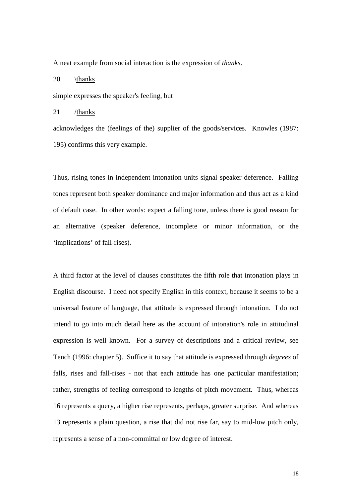A neat example from social interaction is the expression of *thanks*.

20 \thanks

simple expresses the speaker's feeling, but

21 /thanks

acknowledges the (feelings of the) supplier of the goods/services. Knowles (1987: 195) confirms this very example.

Thus, rising tones in independent intonation units signal speaker deference. Falling tones represent both speaker dominance and major information and thus act as a kind of default case. In other words: expect a falling tone, unless there is good reason for an alternative (speaker deference, incomplete or minor information, or the 'implications' of fall-rises).

A third factor at the level of clauses constitutes the fifth role that intonation plays in English discourse. I need not specify English in this context, because it seems to be a universal feature of language, that attitude is expressed through intonation. I do not intend to go into much detail here as the account of intonation's role in attitudinal expression is well known. For a survey of descriptions and a critical review, see Tench (1996: chapter 5). Suffice it to say that attitude is expressed through *degrees* of falls, rises and fall-rises - not that each attitude has one particular manifestation; rather, strengths of feeling correspond to lengths of pitch movement. Thus, whereas 16 represents a query, a higher rise represents, perhaps, greater surprise. And whereas 13 represents a plain question, a rise that did not rise far, say to mid-low pitch only, represents a sense of a non-committal or low degree of interest.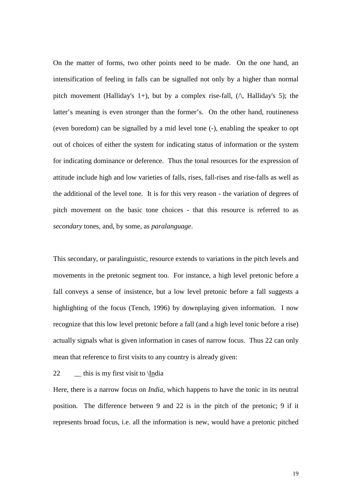On the matter of forms, two other points need to be made. On the one hand, an intensification of feeling in falls can be signalled not only by a higher than normal pitch movement (Halliday's 1+), but by a complex rise-fall,  $(\wedge)$ , Halliday's 5); the latter's meaning is even stronger than the former's. On the other hand, routineness (even boredom) can be signalled by a mid level tone (-), enabling the speaker to opt out of choices of either the system for indicating status of information or the system for indicating dominance or deference. Thus the tonal resources for the expression of attitude include high and low varieties of falls, rises, fall-rises and rise-falls as well as the additional of the level tone. It is for this very reason - the variation of degrees of pitch movement on the basic tone choices - that this resource is referred to as *secondary* tones, and, by some, as *paralanguage*.

This secondary, or paralinguistic, resource extends to variations in the pitch levels and movements in the pretonic segment too. For instance, a high level pretonic before a fall conveys a sense of insistence, but a low level pretonic before a fall suggests a highlighting of the focus (Tench, 1996) by downplaying given information. I now recognize that this low level pretonic before a fall (and a high level tonic before a rise) actually signals what is given information in cases of narrow focus. Thus 22 can only mean that reference to first visits to any country is already given:

22  $\qquad$  this is my first visit to \India

Here, there is a narrow focus on *India*, which happens to have the tonic in its neutral position. The difference between 9 and 22 is in the pitch of the pretonic; 9 if it represents broad focus, i.e. all the information is new, would have a pretonic pitched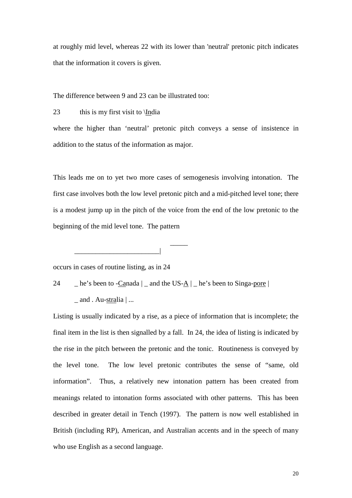at roughly mid level, whereas 22 with its lower than 'neutral' pretonic pitch indicates that the information it covers is given.

The difference between 9 and 23 can be illustrated too:

23 this is my first visit to \India

where the higher than 'neutral' pretonic pitch conveys a sense of insistence in addition to the status of the information as major.

This leads me on to yet two more cases of semogenesis involving intonation. The first case involves both the low level pretonic pitch and a mid-pitched level tone; there is a modest jump up in the pitch of the voice from the end of the low pretonic to the beginning of the mid level tone. The pattern

occurs in cases of routine listing, as in 24

 \_\_\_\_\_ \_\_\_\_\_\_\_\_\_\_\_\_\_\_\_\_\_\_\_\_\_\_\_\_|

24  $\Box$  he's been to -Canada  $\Box$  and the US- $\Delta$   $\Box$  he's been to Singa-pore  $\Box$ 

 $_$  and . Au-stralia  $|...$ 

Listing is usually indicated by a rise, as a piece of information that is incomplete; the final item in the list is then signalled by a fall. In 24, the idea of listing is indicated by the rise in the pitch between the pretonic and the tonic. Routineness is conveyed by the level tone. The low level pretonic contributes the sense of "same, old information". Thus, a relatively new intonation pattern has been created from meanings related to intonation forms associated with other patterns. This has been described in greater detail in Tench (1997). The pattern is now well established in British (including RP), American, and Australian accents and in the speech of many who use English as a second language.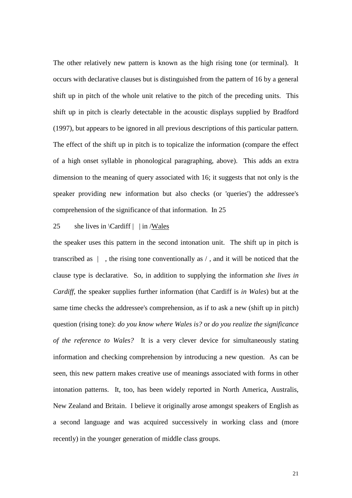The other relatively new pattern is known as the high rising tone (or terminal). It occurs with declarative clauses but is distinguished from the pattern of 16 by a general shift up in pitch of the whole unit relative to the pitch of the preceding units. This shift up in pitch is clearly detectable in the acoustic displays supplied by Bradford (1997), but appears to be ignored in all previous descriptions of this particular pattern. The effect of the shift up in pitch is to topicalize the information (compare the effect of a high onset syllable in phonological paragraphing, above). This adds an extra dimension to the meaning of query associated with 16; it suggests that not only is the speaker providing new information but also checks (or 'queries') the addressee's comprehension of the significance of that information. In 25

# 25 she lives in \Cardiff | | in /Wales

the speaker uses this pattern in the second intonation unit. The shift up in pitch is transcribed as  $\parallel$ , the rising tone conventionally as  $\land$ , and it will be noticed that the clause type is declarative. So, in addition to supplying the information *she lives in Cardiff*, the speaker supplies further information (that Cardiff is *in Wales*) but at the same time checks the addressee's comprehension, as if to ask a new (shift up in pitch) question (rising tone): *do you know where Wales is?* or *do you realize the significance of the reference to Wales?* It is a very clever device for simultaneously stating information and checking comprehension by introducing a new question. As can be seen, this new pattern makes creative use of meanings associated with forms in other intonation patterns. It, too, has been widely reported in North America, Australis, New Zealand and Britain. I believe it originally arose amongst speakers of English as a second language and was acquired successively in working class and (more recently) in the younger generation of middle class groups.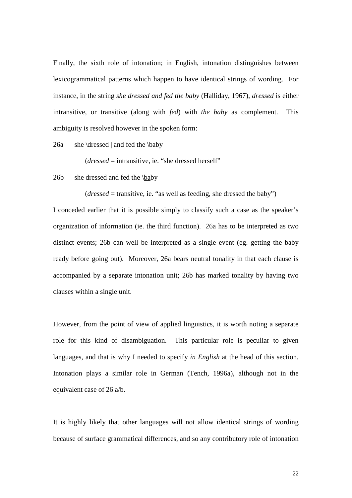Finally, the sixth role of intonation; in English, intonation distinguishes between lexicogrammatical patterns which happen to have identical strings of wording. For instance, in the string *she dressed and fed the baby* (Halliday, 1967), *dressed* is either intransitive, or transitive (along with *fed*) with *the baby* as complement. This ambiguity is resolved however in the spoken form:

26a she \dressed | and fed the \baby

 $(dressed = intransitive, i.e.$  "she dressed herself"

26b she dressed and fed the \baby

(*dressed* = transitive, ie. "as well as feeding, she dressed the baby")

I conceded earlier that it is possible simply to classify such a case as the speaker's organization of information (ie. the third function). 26a has to be interpreted as two distinct events; 26b can well be interpreted as a single event (eg. getting the baby ready before going out). Moreover, 26a bears neutral tonality in that each clause is accompanied by a separate intonation unit; 26b has marked tonality by having two clauses within a single unit.

However, from the point of view of applied linguistics, it is worth noting a separate role for this kind of disambiguation. This particular role is peculiar to given languages, and that is why I needed to specify *in English* at the head of this section. Intonation plays a similar role in German (Tench, 1996a), although not in the equivalent case of 26 a/b.

It is highly likely that other languages will not allow identical strings of wording because of surface grammatical differences, and so any contributory role of intonation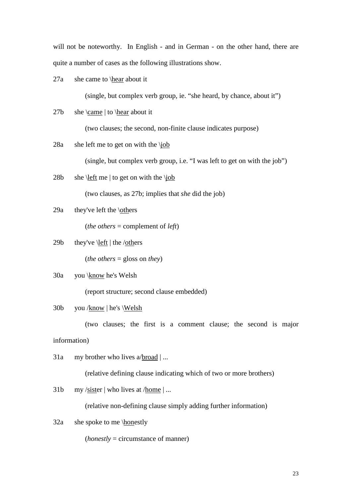will not be noteworthy. In English - and in German - on the other hand, there are quite a number of cases as the following illustrations show.

27a she came to \hear about it

(single, but complex verb group, ie. "she heard, by chance, about it")

27b she \came | to \hear about it

(two clauses; the second, non-finite clause indicates purpose)

28a she left me to get on with the \job

(single, but complex verb group, i.e. "I was left to get on with the job")

28b she \left me | to get on with the \job

(two clauses, as 27b; implies that *she* did the job)

29a they've left the  $\otimes$ 

(*the others* = complement of *left*)

29b they've \left | the /others

(*the others* = gloss on *they*)

30a you \know he's Welsh

(report structure; second clause embedded)

## 30b you /know | he's \Welsh

(two clauses; the first is a comment clause; the second is major

information)

31a my brother who lives a/broad | ...

(relative defining clause indicating which of two or more brothers)

31b my /sister | who lives at  $/$ home | ...

(relative non-defining clause simply adding further information)

32a she spoke to me \honestly

(*honestly* = circumstance of manner)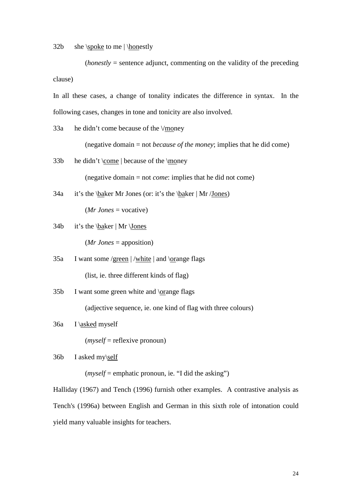32b she \spoke to me | \honestly

 $(honestly = sentence$  adjunct, commenting on the validity of the preceding clause)

In all these cases, a change of tonality indicates the difference in syntax. In the following cases, changes in tone and tonicity are also involved.

33a he didn't come because of the \/money

(negative domain = not *because of the money*; implies that he did come)

33b he didn't \come | because of the \money

(negative domain = not *come*: implies that he did not come)

34a it's the \baker Mr Jones (or: it's the \baker | Mr /Jones)

(*Mr Jones* = vocative)

34b it's the \baker | Mr \Jones

(*Mr Jones* = apposition)

- 35a I want some /green | /white | and \orange flags (list, ie. three different kinds of flag)
- $35b$  I want some green white and  $\qquad$  lorange flags

(adjective sequence, ie. one kind of flag with three colours)

36a I \asked myself

(*myself* = reflexive pronoun)

36b I asked my\self

(*myself* = emphatic pronoun, ie. "I did the asking")

Halliday (1967) and Tench (1996) furnish other examples. A contrastive analysis as Tench's (1996a) between English and German in this sixth role of intonation could yield many valuable insights for teachers.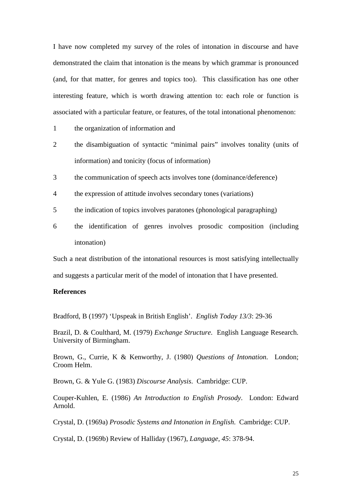I have now completed my survey of the roles of intonation in discourse and have demonstrated the claim that intonation is the means by which grammar is pronounced (and, for that matter, for genres and topics too). This classification has one other interesting feature, which is worth drawing attention to: each role or function is associated with a particular feature, or features, of the total intonational phenomenon:

- 1 the organization of information and
- 2 the disambiguation of syntactic "minimal pairs" involves tonality (units of information) and tonicity (focus of information)
- 3 the communication of speech acts involves tone (dominance/deference)
- 4 the expression of attitude involves secondary tones (variations)
- 5 the indication of topics involves paratones (phonological paragraphing)
- 6 the identification of genres involves prosodic composition (including intonation)

Such a neat distribution of the intonational resources is most satisfying intellectually and suggests a particular merit of the model of intonation that I have presented.

### **References**

Bradford, B (1997) 'Upspeak in British English'. *English Today 13/3*: 29-36

Brazil, D. & Coulthard, M. (1979) *Exchange Structure*. English Language Research. University of Birmingham.

Brown, G., Currie, K & Kenworthy, J. (1980) *Questions of Intonation*. London; Croom Helm.

Brown, G. & Yule G. (1983) *Discourse Analysis*. Cambridge: CUP.

Couper-Kuhlen, E. (1986) *An Introduction to English Prosody*. London: Edward Arnold.

Crystal, D. (1969a) *Prosodic Systems and Intonation in English*. Cambridge: CUP.

Crystal, D. (1969b) Review of Halliday (1967), *Language, 45*: 378-94.